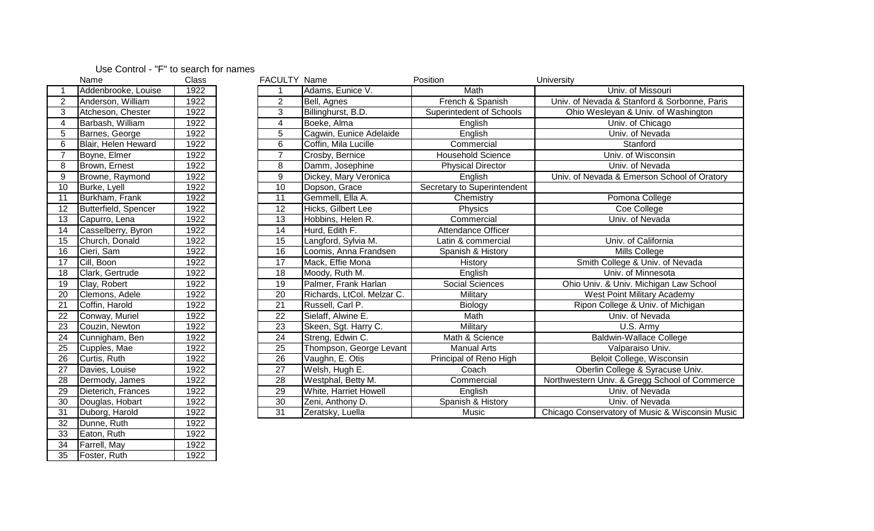## Use Control - "F" to search for names

33 Eaton, Ruth 1922<br>34 Farrell, May 1922 1922 Farrell, May 1922<br>
35 Foster, Ruth 1922

Foster, Ruth

|                          | Name                 | Class | FACULTY Name    |                            | Position                    | University                                      |
|--------------------------|----------------------|-------|-----------------|----------------------------|-----------------------------|-------------------------------------------------|
|                          | Addenbrooke, Louise  | 1922  |                 | Adams, Eunice V.           | Math                        | Univ. of Missouri                               |
| $\overline{2}$           | Anderson, William    | 1922  | $\overline{2}$  | Bell, Agnes                | French & Spanish            | Univ. of Nevada & Stanford & Sorbonne, Paris    |
| 3                        | Atcheson, Chester    | 1922  | $\overline{3}$  | Billinghurst, B.D.         | Superintedent of Schools    | Ohio Wesleyan & Univ. of Washington             |
| $\overline{\mathcal{A}}$ | Barbash, William     | 1922  | $\overline{4}$  | Boeke, Alma                | English                     | Univ. of Chicago                                |
| $\sqrt{5}$               | Barnes, George       | 1922  | $5\phantom{.0}$ | Cagwin, Eunice Adelaide    | English                     | Univ. of Nevada                                 |
| 6                        | Blair, Helen Heward  | 1922  | 6               | Coffin, Mila Lucille       | Commercial                  | Stanford                                        |
| $\overline{7}$           | Boyne, Elmer         | 1922  | $\overline{7}$  | Crosby, Bernice            | <b>Household Science</b>    | Univ. of Wisconsin                              |
| 8                        | Brown, Ernest        | 1922  | 8               | Damm, Josephine            | <b>Physical Director</b>    | Univ. of Nevada                                 |
| $\boldsymbol{9}$         | Browne, Raymond      | 1922  | $\mathsf 9$     | Dickey, Mary Veronica      | English                     | Univ. of Nevada & Emerson School of Oratory     |
| 10                       | Burke, Lyell         | 1922  | $\overline{10}$ | Dopson, Grace              | Secretary to Superintendent |                                                 |
| 11                       | Burkham, Frank       | 1922  | 11              | Gemmell, Ella A.           | Chemistry                   | Pomona College                                  |
| $\overline{12}$          | Butterfield, Spencer | 1922  | $\overline{12}$ | Hicks, Gilbert Lee         | Physics                     | Coe College                                     |
| 13                       | Capurro, Lena        | 1922  | 13              | Hobbins, Helen R.          | Commercial                  | Univ. of Nevada                                 |
| 14                       | Casselberry, Byron   | 1922  | 14              | Hurd, Edith F.             | Attendance Officer          |                                                 |
| 15                       | Church, Donald       | 1922  | 15              | Langford, Sylvia M.        | Latin & commercial          | Univ. of California                             |
| 16                       | Cieri, Sam           | 1922  | $\overline{16}$ | Loomis, Anna Frandsen      | Spanish & History           | Mills College                                   |
| 17                       | Cill, Boon           | 1922  | $\overline{17}$ | Mack, Effie Mona           | History                     | Smith College & Univ. of Nevada                 |
| 18                       | Clark, Gertrude      | 1922  | $\overline{18}$ | Moody, Ruth M.             | English                     | Univ. of Minnesota                              |
| 19                       | Clay, Robert         | 1922  | 19              | Palmer, Frank Harlan       | <b>Social Sciences</b>      | Ohio Univ. & Univ. Michigan Law School          |
| $\overline{20}$          | Clemons, Adele       | 1922  | $\overline{20}$ | Richards, LtCol. Melzar C. | Military                    | West Point Military Academy                     |
| 21                       | Coffin, Harold       | 1922  | $\overline{21}$ | Russell, Carl P.           | Biology                     | Ripon College & Univ. of Michigan               |
| 22                       | Conway, Muriel       | 1922  | 22              | Sielaff, Alwine E.         | Math                        | Univ. of Nevada                                 |
| 23                       | Couzin, Newton       | 1922  | $\overline{23}$ | Skeen, Sgt. Harry C.       | Military                    | U.S. Army                                       |
| 24                       | Cunnigham, Ben       | 1922  | 24              | Streng, Edwin C.           | Math & Science              | Baldwin-Wallace College                         |
| 25                       | Cupples, Mae         | 1922  | 25              | Thompson, George Levant    | <b>Manual Arts</b>          | Valparaiso Univ.                                |
| 26                       | Curtis, Ruth         | 1922  | 26              | Vaughn, E. Otis            | Principal of Reno High      | Beloit College, Wisconsin                       |
| $\overline{27}$          | Davies, Louise       | 1922  | $\overline{27}$ | Welsh, Hugh E.             | Coach                       | Oberlin College & Syracuse Univ.                |
| 28                       | Dermody, James       | 1922  | 28              | Westphal, Betty M.         | Commercial                  | Northwestern Univ. & Gregg School of Commerce   |
| 29                       | Dieterich, Frances   | 1922  | 29              | White, Harriet Howell      | English                     | Univ. of Nevada                                 |
| 30                       | Douglas, Hobart      | 1922  | $\overline{30}$ | Zeni, Anthony D.           | Spanish & History           | Univ. of Nevada                                 |
| $\overline{31}$          | Duborg, Harold       | 1922  | $\overline{31}$ | Zeratsky, Luella           | Music                       | Chicago Conservatory of Music & Wisconsin Music |
| 32                       | Dunne, Ruth          | 1922  |                 |                            |                             |                                                 |
| 33                       | Eaton, Ruth          | 1922  |                 |                            |                             |                                                 |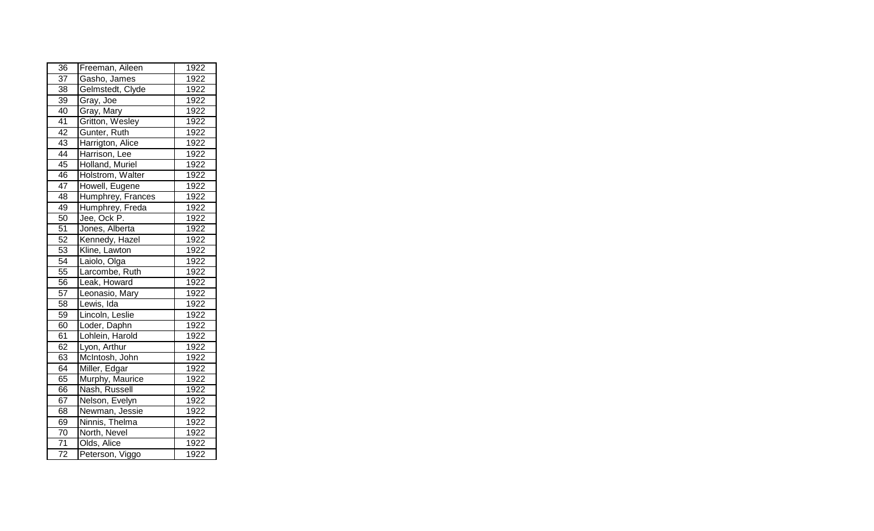| 36              | Freeman, Aileen   | 1922 |
|-----------------|-------------------|------|
| 37              | Gasho, James      | 1922 |
| 38              | Gelmstedt, Clyde  | 1922 |
| $\overline{39}$ | Gray, Joe         | 1922 |
| 40              | Gray, Mary        | 1922 |
| $\overline{41}$ | Gritton, Wesley   | 1922 |
| 42              | Gunter, Ruth      | 1922 |
| $\overline{43}$ | Harrigton, Alice  | 1922 |
| $\overline{44}$ | Harrison, Lee     | 1922 |
| 45              | Holland, Muriel   | 1922 |
| 46              | Holstrom, Walter  | 1922 |
| 47              | Howell, Eugene    | 1922 |
| 48              | Humphrey, Frances | 1922 |
| 49              | Humphrey, Freda   | 1922 |
| 50              | Jee, Ock P.       | 1922 |
| 51              | Jones, Alberta    | 1922 |
| 52              | Kennedy, Hazel    | 1922 |
| 53              | Kline, Lawton     | 1922 |
| 54              | Laiolo, Olga      | 1922 |
| 55              | Larcombe, Ruth    | 1922 |
| 56              | Leak, Howard      | 1922 |
| 57              | Leonasio, Mary    | 1922 |
| 58              | Lewis, Ida        | 1922 |
| 59              | Lincoln, Leslie   | 1922 |
| $\overline{60}$ | Loder, Daphn      | 1922 |
| 61              | Lohlein, Harold   | 1922 |
| 62              | Lyon, Arthur      | 1922 |
| 63              | McIntosh, John    | 1922 |
| 64              | Miller, Edgar     | 1922 |
| 65              | Murphy, Maurice   | 1922 |
| 66              | Nash, Russell     | 1922 |
| 67              | Nelson, Evelyn    | 1922 |
| 68              | Newman, Jessie    | 1922 |
| 69              | Ninnis, Thelma    | 1922 |
| $\overline{70}$ | North, Nevel      | 1922 |
| $\overline{71}$ | Olds, Alice       | 1922 |
| $\overline{72}$ | Peterson, Viggo   | 1922 |